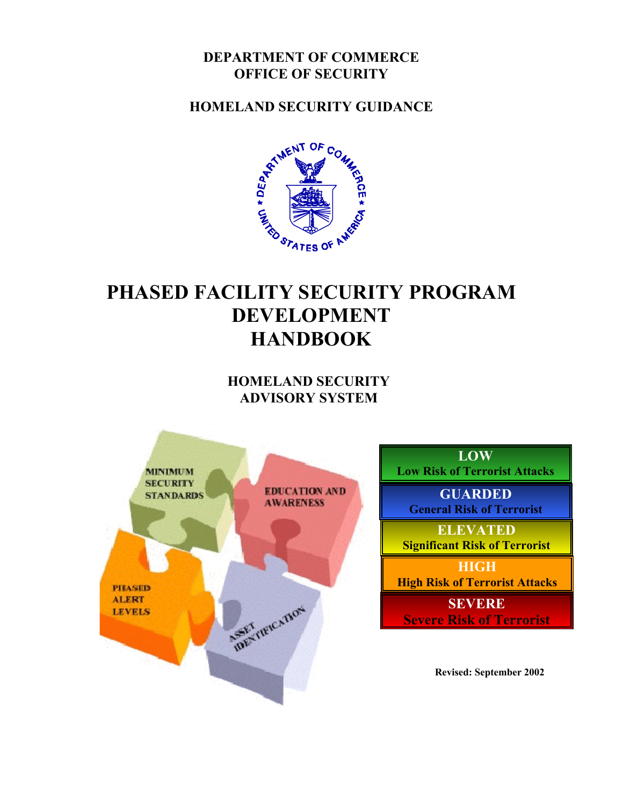### **DEPARTMENT OF COMMERCE OFFICE OF SECURITY**

**HOMELAND SECURITY GUIDANCE** 



# **PHASED FACILITY SECURITY PROGRAM DEVELOPMENT HANDBOOK**

**HOMELAND SECURITY ADVISORY SYSTEM** 

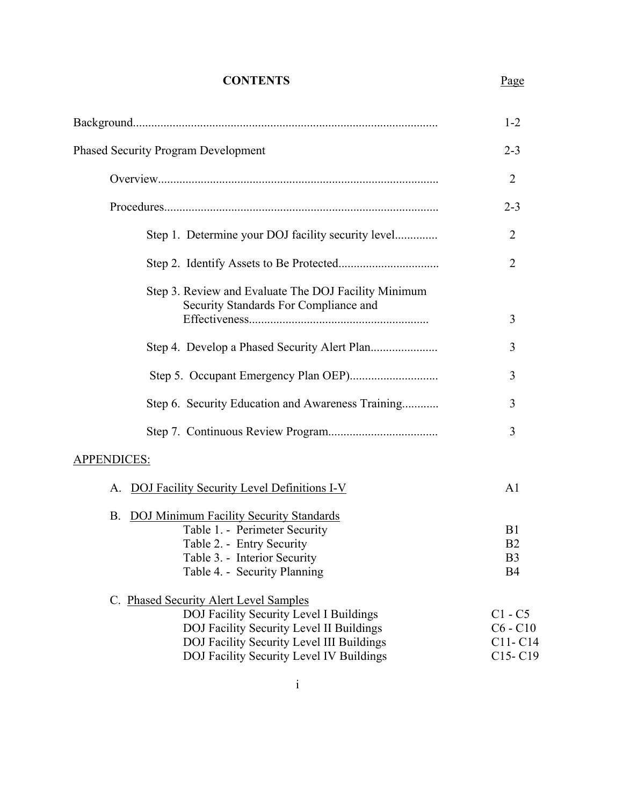### **CONTENTS**

Page

|                                                                                                                                                                                                                        | $1 - 2$                                                  |
|------------------------------------------------------------------------------------------------------------------------------------------------------------------------------------------------------------------------|----------------------------------------------------------|
| <b>Phased Security Program Development</b>                                                                                                                                                                             | $2 - 3$                                                  |
|                                                                                                                                                                                                                        | $\overline{2}$                                           |
|                                                                                                                                                                                                                        | $2 - 3$                                                  |
| Step 1. Determine your DOJ facility security level                                                                                                                                                                     | $\overline{2}$                                           |
|                                                                                                                                                                                                                        | $\overline{2}$                                           |
| Step 3. Review and Evaluate The DOJ Facility Minimum<br>Security Standards For Compliance and                                                                                                                          |                                                          |
|                                                                                                                                                                                                                        | 3                                                        |
|                                                                                                                                                                                                                        | 3                                                        |
|                                                                                                                                                                                                                        | 3                                                        |
| Step 6. Security Education and Awareness Training                                                                                                                                                                      | 3                                                        |
|                                                                                                                                                                                                                        | 3                                                        |
| <b>APPENDICES:</b>                                                                                                                                                                                                     |                                                          |
| DOJ Facility Security Level Definitions I-V<br>А.                                                                                                                                                                      | A <sub>1</sub>                                           |
| <b>DOJ Minimum Facility Security Standards</b><br><b>B.</b><br>Table 1. - Perimeter Security<br>Table 2. - Entry Security<br>Table 3. - Interior Security<br>Table 4. - Security Planning                              | B1<br>B <sub>2</sub><br>B <sub>3</sub><br>B <sub>4</sub> |
| C. Phased Security Alert Level Samples<br>DOJ Facility Security Level I Buildings<br>DOJ Facility Security Level II Buildings<br>DOJ Facility Security Level III Buildings<br>DOJ Facility Security Level IV Buildings | $C1 - C5$<br>$C6 - C10$<br>C11-C14<br>$C15-C19$          |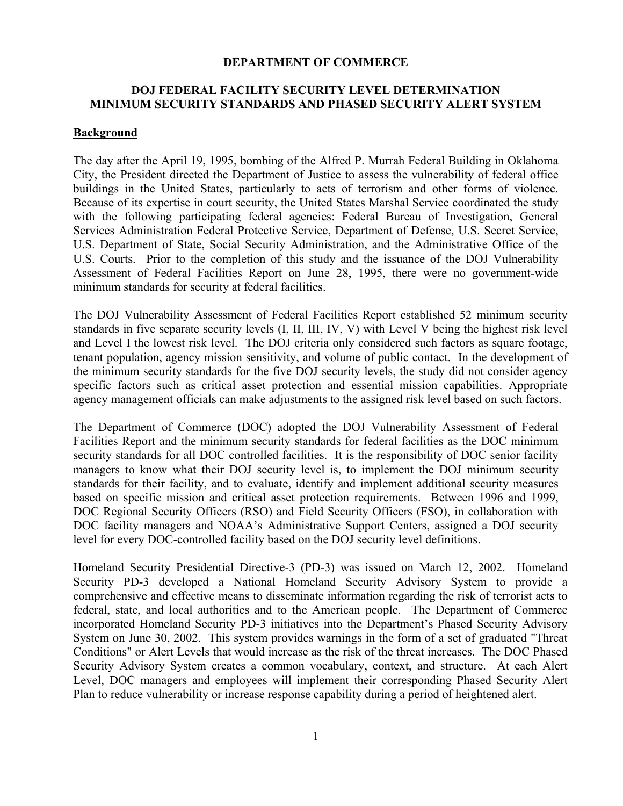#### **DEPARTMENT OF COMMERCE**

#### **DOJ FEDERAL FACILITY SECURITY LEVEL DETERMINATION MINIMUM SECURITY STANDARDS AND PHASED SECURITY ALERT SYSTEM**

#### **Background**

The day after the April 19, 1995, bombing of the Alfred P. Murrah Federal Building in Oklahoma City, the President directed the Department of Justice to assess the vulnerability of federal office buildings in the United States, particularly to acts of terrorism and other forms of violence. Because of its expertise in court security, the United States Marshal Service coordinated the study with the following participating federal agencies: Federal Bureau of Investigation, General Services Administration Federal Protective Service, Department of Defense, U.S. Secret Service, U.S. Department of State, Social Security Administration, and the Administrative Office of the U.S. Courts. Prior to the completion of this study and the issuance of the DOJ Vulnerability Assessment of Federal Facilities Report on June 28, 1995, there were no government-wide minimum standards for security at federal facilities.

The DOJ Vulnerability Assessment of Federal Facilities Report established 52 minimum security standards in five separate security levels (I, II, III, IV, V) with Level V being the highest risk level and Level I the lowest risk level. The DOJ criteria only considered such factors as square footage, tenant population, agency mission sensitivity, and volume of public contact. In the development of the minimum security standards for the five DOJ security levels, the study did not consider agency specific factors such as critical asset protection and essential mission capabilities. Appropriate agency management officials can make adjustments to the assigned risk level based on such factors.

The Department of Commerce (DOC) adopted the DOJ Vulnerability Assessment of Federal Facilities Report and the minimum security standards for federal facilities as the DOC minimum security standards for all DOC controlled facilities. It is the responsibility of DOC senior facility managers to know what their DOJ security level is, to implement the DOJ minimum security standards for their facility, and to evaluate, identify and implement additional security measures based on specific mission and critical asset protection requirements. Between 1996 and 1999, DOC Regional Security Officers (RSO) and Field Security Officers (FSO), in collaboration with DOC facility managers and NOAA's Administrative Support Centers, assigned a DOJ security level for every DOC-controlled facility based on the DOJ security level definitions.

Homeland Security Presidential Directive-3 (PD-3) was issued on March 12, 2002. Homeland Security PD-3 developed a National Homeland Security Advisory System to provide a comprehensive and effective means to disseminate information regarding the risk of terrorist acts to federal, state, and local authorities and to the American people. The Department of Commerce incorporated Homeland Security PD-3 initiatives into the Department's Phased Security Advisory System on June 30, 2002. This system provides warnings in the form of a set of graduated "Threat Conditions" or Alert Levels that would increase as the risk of the threat increases. The DOC Phased Security Advisory System creates a common vocabulary, context, and structure. At each Alert Level, DOC managers and employees will implement their corresponding Phased Security Alert Plan to reduce vulnerability or increase response capability during a period of heightened alert.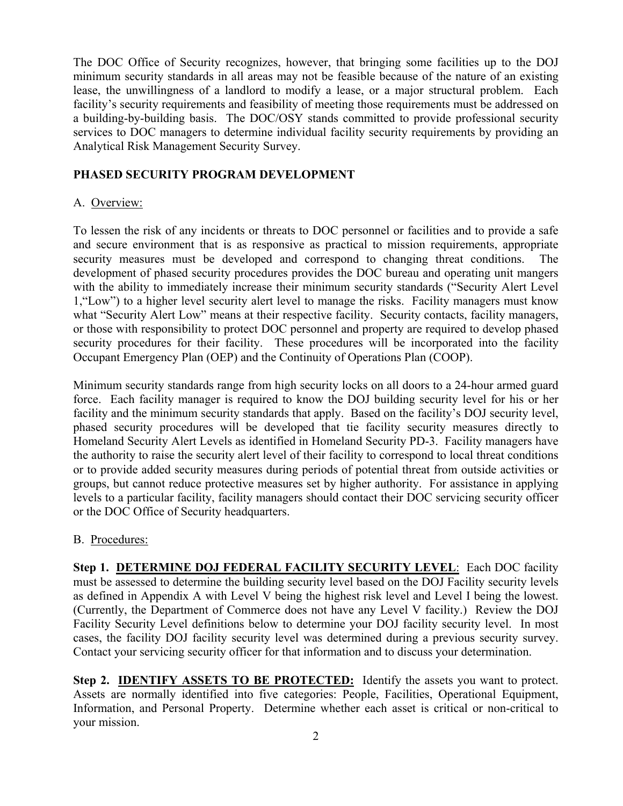The DOC Office of Security recognizes, however, that bringing some facilities up to the DOJ minimum security standards in all areas may not be feasible because of the nature of an existing lease, the unwillingness of a landlord to modify a lease, or a major structural problem. Each facility's security requirements and feasibility of meeting those requirements must be addressed on a building-by-building basis. The DOC/OSY stands committed to provide professional security services to DOC managers to determine individual facility security requirements by providing an Analytical Risk Management Security Survey.

#### **PHASED SECURITY PROGRAM DEVELOPMENT**

#### A. Overview:

To lessen the risk of any incidents or threats to DOC personnel or facilities and to provide a safe and secure environment that is as responsive as practical to mission requirements, appropriate security measures must be developed and correspond to changing threat conditions. The development of phased security procedures provides the DOC bureau and operating unit mangers with the ability to immediately increase their minimum security standards ("Security Alert Level 1,"Low") to a higher level security alert level to manage the risks. Facility managers must know what "Security Alert Low" means at their respective facility. Security contacts, facility managers, or those with responsibility to protect DOC personnel and property are required to develop phased security procedures for their facility. These procedures will be incorporated into the facility Occupant Emergency Plan (OEP) and the Continuity of Operations Plan (COOP).

Minimum security standards range from high security locks on all doors to a 24-hour armed guard force. Each facility manager is required to know the DOJ building security level for his or her facility and the minimum security standards that apply. Based on the facility's DOJ security level, phased security procedures will be developed that tie facility security measures directly to Homeland Security Alert Levels as identified in Homeland Security PD-3. Facility managers have the authority to raise the security alert level of their facility to correspond to local threat conditions or to provide added security measures during periods of potential threat from outside activities or groups, but cannot reduce protective measures set by higher authority. For assistance in applying levels to a particular facility, facility managers should contact their DOC servicing security officer or the DOC Office of Security headquarters.

#### B. Procedures:

**Step 1. DETERMINE DOJ FEDERAL FACILITY SECURITY LEVEL**: Each DOC facility must be assessed to determine the building security level based on the DOJ Facility security levels as defined in Appendix A with Level V being the highest risk level and Level I being the lowest. (Currently, the Department of Commerce does not have any Level V facility.) Review the DOJ Facility Security Level definitions below to determine your DOJ facility security level. In most cases, the facility DOJ facility security level was determined during a previous security survey. Contact your servicing security officer for that information and to discuss your determination.

**Step 2. IDENTIFY ASSETS TO BE PROTECTED:** Identify the assets you want to protect. Assets are normally identified into five categories: People, Facilities, Operational Equipment, Information, and Personal Property. Determine whether each asset is critical or non-critical to your mission.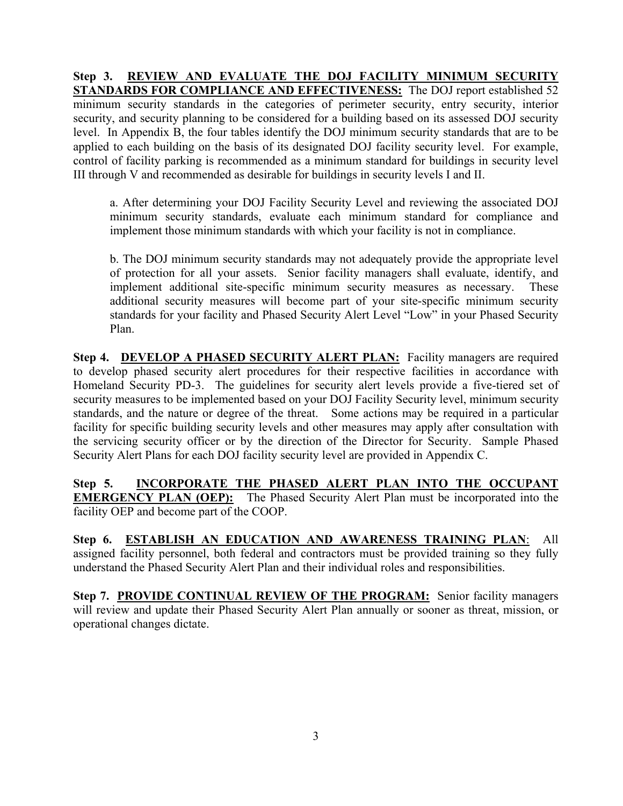**Step 3. REVIEW AND EVALUATE THE DOJ FACILITY MINIMUM SECURITY STANDARDS FOR COMPLIANCE AND EFFECTIVENESS:** The DOJ report established 52 minimum security standards in the categories of perimeter security, entry security, interior security, and security planning to be considered for a building based on its assessed DOJ security level. In Appendix B, the four tables identify the DOJ minimum security standards that are to be applied to each building on the basis of its designated DOJ facility security level. For example, control of facility parking is recommended as a minimum standard for buildings in security level III through V and recommended as desirable for buildings in security levels I and II.

 a. After determining your DOJ Facility Security Level and reviewing the associated DOJ minimum security standards, evaluate each minimum standard for compliance and implement those minimum standards with which your facility is not in compliance.

 b. The DOJ minimum security standards may not adequately provide the appropriate level of protection for all your assets. Senior facility managers shall evaluate, identify, and implement additional site-specific minimum security measures as necessary. These additional security measures will become part of your site-specific minimum security standards for your facility and Phased Security Alert Level "Low" in your Phased Security Plan.

**Step 4. DEVELOP A PHASED SECURITY ALERT PLAN:** Facility managers are required to develop phased security alert procedures for their respective facilities in accordance with Homeland Security PD-3. The guidelines for security alert levels provide a five-tiered set of security measures to be implemented based on your DOJ Facility Security level, minimum security standards, and the nature or degree of the threat. Some actions may be required in a particular facility for specific building security levels and other measures may apply after consultation with the servicing security officer or by the direction of the Director for Security. Sample Phased Security Alert Plans for each DOJ facility security level are provided in Appendix C.

**Step 5. INCORPORATE THE PHASED ALERT PLAN INTO THE OCCUPANT EMERGENCY PLAN (OEP):** The Phased Security Alert Plan must be incorporated into the facility OEP and become part of the COOP.

**Step 6. ESTABLISH AN EDUCATION AND AWARENESS TRAINING PLAN**:All assigned facility personnel, both federal and contractors must be provided training so they fully understand the Phased Security Alert Plan and their individual roles and responsibilities.

**Step 7. PROVIDE CONTINUAL REVIEW OF THE PROGRAM:** Senior facility managers will review and update their Phased Security Alert Plan annually or sooner as threat, mission, or operational changes dictate.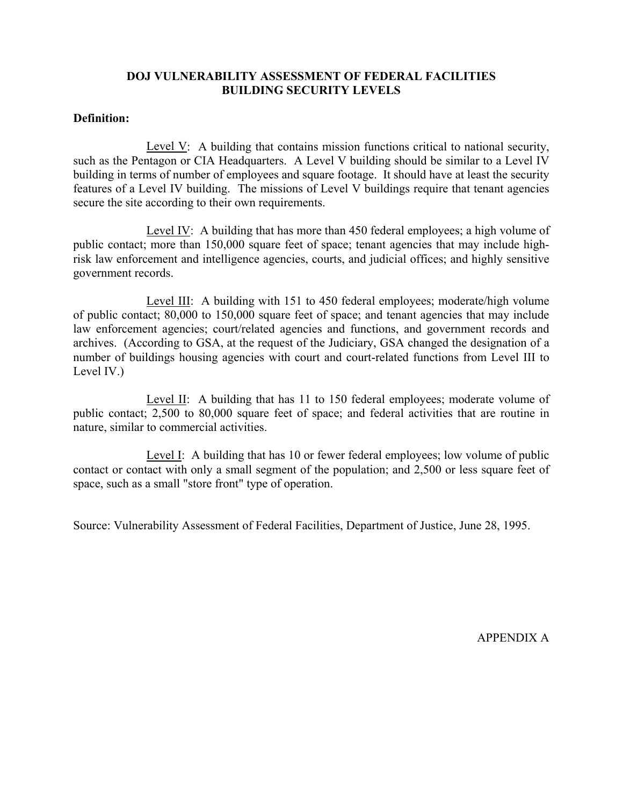#### **DOJ VULNERABILITY ASSESSMENT OF FEDERAL FACILITIES BUILDING SECURITY LEVELS**

### **Definition:**

Level V: A building that contains mission functions critical to national security, such as the Pentagon or CIA Headquarters. A Level V building should be similar to a Level IV building in terms of number of employees and square footage. It should have at least the security features of a Level IV building. The missions of Level V buildings require that tenant agencies secure the site according to their own requirements.

 Level IV: A building that has more than 450 federal employees; a high volume of public contact; more than 150,000 square feet of space; tenant agencies that may include highrisk law enforcement and intelligence agencies, courts, and judicial offices; and highly sensitive government records.

Level III: A building with 151 to 450 federal employees; moderate/high volume of public contact; 80,000 to 150,000 square feet of space; and tenant agencies that may include law enforcement agencies; court/related agencies and functions, and government records and archives. (According to GSA, at the request of the Judiciary, GSA changed the designation of a number of buildings housing agencies with court and court-related functions from Level III to Level IV.)

 Level II: A building that has 11 to 150 federal employees; moderate volume of public contact; 2,500 to 80,000 square feet of space; and federal activities that are routine in nature, similar to commercial activities.

 Level I: A building that has 10 or fewer federal employees; low volume of public contact or contact with only a small segment of the population; and 2,500 or less square feet of space, such as a small "store front" type of operation.

Source: Vulnerability Assessment of Federal Facilities, Department of Justice, June 28, 1995.

APPENDIX A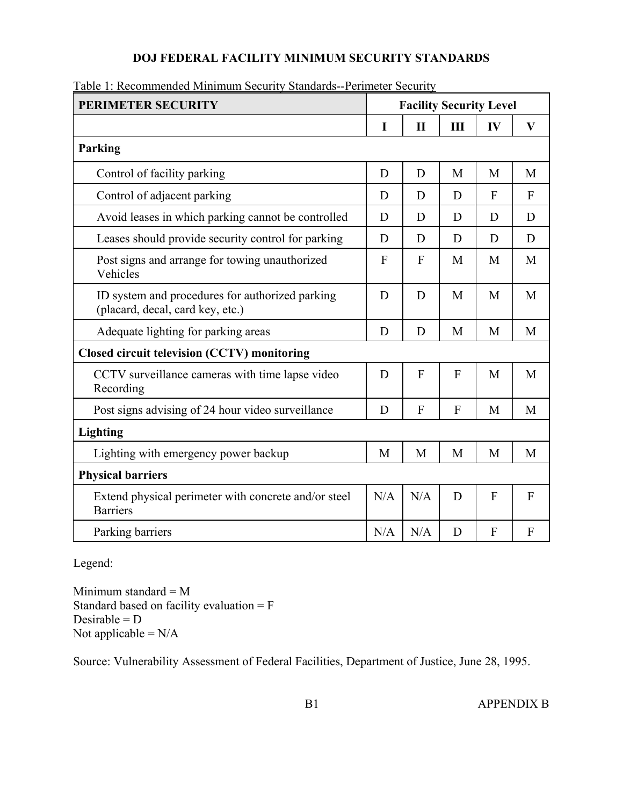### **DOJ FEDERAL FACILITY MINIMUM SECURITY STANDARDS**

| PERIMETER SECURITY                                                                  | <b>Facility Security Level</b> |              |   |                           |                |
|-------------------------------------------------------------------------------------|--------------------------------|--------------|---|---------------------------|----------------|
|                                                                                     | $\mathbf I$                    | $\mathbf{I}$ | Ш | IV                        | $\mathbf{V}$   |
| Parking                                                                             |                                |              |   |                           |                |
| Control of facility parking                                                         | D                              | D            | M | M                         | M              |
| Control of adjacent parking                                                         | D                              | D            | D | $\mathbf{F}$              | $\overline{F}$ |
| Avoid leases in which parking cannot be controlled                                  | D                              | D            | D | D                         | D              |
| Leases should provide security control for parking                                  | D                              | D            | D | D                         | D              |
| Post signs and arrange for towing unauthorized<br>Vehicles                          | $\overline{F}$                 | F            | M | M                         | M              |
| ID system and procedures for authorized parking<br>(placard, decal, card key, etc.) | D                              | D            | M | M                         | M              |
| Adequate lighting for parking areas                                                 | D                              | D            | M | M                         | M              |
| Closed circuit television (CCTV) monitoring                                         |                                |              |   |                           |                |
| CCTV surveillance cameras with time lapse video<br>Recording                        | D                              | F            | F | M                         | M              |
| Post signs advising of 24 hour video surveillance                                   | D                              | F            | F | M                         | M              |
| Lighting                                                                            |                                |              |   |                           |                |
| Lighting with emergency power backup                                                | M                              | M            | M | M                         | M              |
| <b>Physical barriers</b>                                                            |                                |              |   |                           |                |
| Extend physical perimeter with concrete and/or steel<br><b>Barriers</b>             | N/A                            | N/A          | D | $\overline{F}$            | F              |
| Parking barriers                                                                    | N/A                            | N/A          | D | $\boldsymbol{\mathrm{F}}$ | $\mathbf{F}$   |

Table 1: Recommended Minimum Security Standards--Perimeter Security

Legend:

Minimum standard = M Standard based on facility evaluation = F Desirable =  $D$ Not applicable  $=N/A$ 

Source: Vulnerability Assessment of Federal Facilities, Department of Justice, June 28, 1995.

B1 APPENDIX B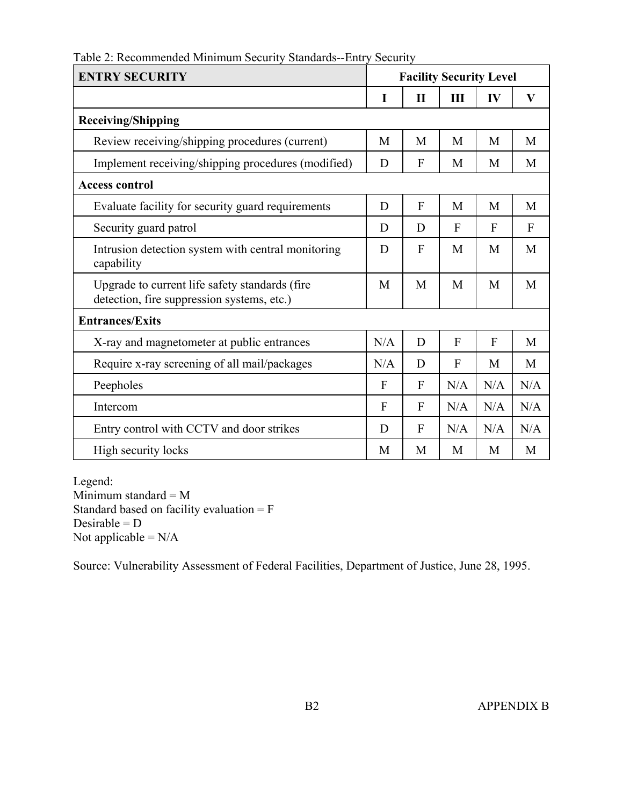| Table 2: Recommended Minimum Security Standards--Entry Security |  |  |
|-----------------------------------------------------------------|--|--|
|                                                                 |  |  |

| <b>ENTRY SECURITY</b>                                                                        | <b>Facility Security Level</b> |              |                |              |              |
|----------------------------------------------------------------------------------------------|--------------------------------|--------------|----------------|--------------|--------------|
|                                                                                              | 1                              | $\mathbf{I}$ | Ш              | IV           | $\mathbf{V}$ |
| <b>Receiving/Shipping</b>                                                                    |                                |              |                |              |              |
| Review receiving/shipping procedures (current)                                               | M                              | M            | M              | M            | M            |
| Implement receiving/shipping procedures (modified)                                           | D                              | F            | M              | M            | M            |
| <b>Access control</b>                                                                        |                                |              |                |              |              |
| Evaluate facility for security guard requirements                                            | D                              | $\mathbf{F}$ | M              | M            | M            |
| Security guard patrol                                                                        | D                              | D            | $\mathbf{F}$   | $\mathbf{F}$ | $\mathbf{F}$ |
| Intrusion detection system with central monitoring<br>capability                             | D                              | F            | M              | M            | M            |
| Upgrade to current life safety standards (fire<br>detection, fire suppression systems, etc.) | M                              | M            | M              | M            | M            |
| <b>Entrances/Exits</b>                                                                       |                                |              |                |              |              |
| X-ray and magnetometer at public entrances                                                   | N/A                            | D            | $\overline{F}$ | F            | M            |
| Require x-ray screening of all mail/packages                                                 | N/A                            | D            | $\mathbf{F}$   | M            | M            |
| Peepholes                                                                                    | $\mathbf F$                    | F            | N/A            | N/A          | N/A          |
| Intercom                                                                                     | $\overline{F}$                 | F            | N/A            | N/A          | N/A          |
| Entry control with CCTV and door strikes                                                     | D                              | F            | N/A            | N/A          | N/A          |
| High security locks                                                                          | M                              | M            | M              | М            | M            |

Legend: Minimum standard =  $M$ Standard based on facility evaluation = F Desirable =  $D$ Not applicable  $=N/A$ 

Source: Vulnerability Assessment of Federal Facilities, Department of Justice, June 28, 1995.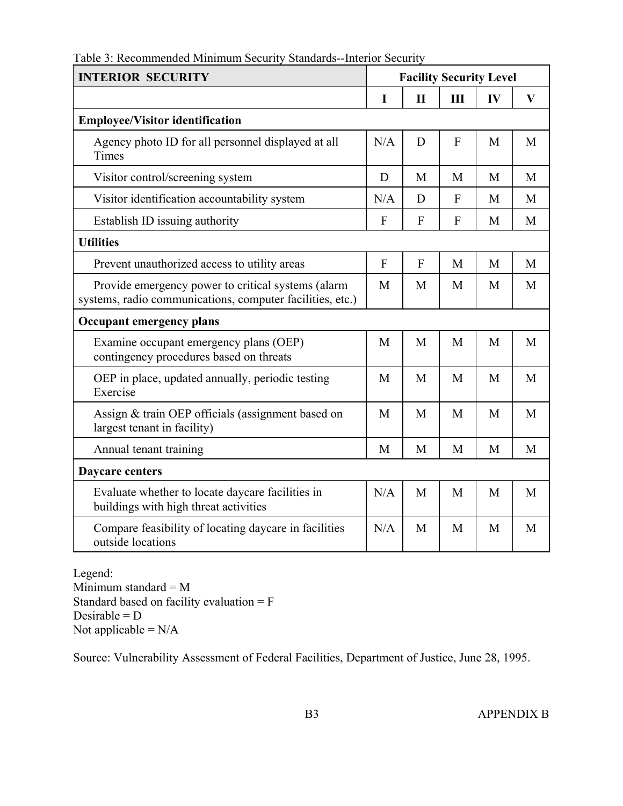| Table 3: Recommended Minimum Security Standards--Interior Security |  |  |  |
|--------------------------------------------------------------------|--|--|--|
|                                                                    |  |  |  |

| <b>INTERIOR SECURITY</b>                                                                                        | <b>Facility Security Level</b> |              |              |    |              |
|-----------------------------------------------------------------------------------------------------------------|--------------------------------|--------------|--------------|----|--------------|
|                                                                                                                 | I                              | $\mathbf{I}$ | Ш            | IV | $\mathbf{V}$ |
| <b>Employee/Visitor identification</b>                                                                          |                                |              |              |    |              |
| Agency photo ID for all personnel displayed at all<br>Times                                                     | N/A                            | D            | F            | M  | M            |
| Visitor control/screening system                                                                                | D                              | M            | M            | M  | M            |
| Visitor identification accountability system                                                                    | N/A                            | D            | $\mathbf{F}$ | M  | M            |
| Establish ID issuing authority                                                                                  | F                              | F            | F            | M  | M            |
| <b>Utilities</b>                                                                                                |                                |              |              |    |              |
| Prevent unauthorized access to utility areas                                                                    | $\mathbf{F}$                   | $\mathbf{F}$ | M            | M  | M            |
| Provide emergency power to critical systems (alarm<br>systems, radio communications, computer facilities, etc.) | M                              | M            | M            | M  | M            |
| <b>Occupant emergency plans</b>                                                                                 |                                |              |              |    |              |
| Examine occupant emergency plans (OEP)<br>contingency procedures based on threats                               | M                              | M            | M            | M  | M            |
| OEP in place, updated annually, periodic testing<br>Exercise                                                    | M                              | M            | M            | M  | M            |
| Assign & train OEP officials (assignment based on<br>largest tenant in facility)                                | M                              | M            | M            | M  | M            |
| Annual tenant training                                                                                          | M                              | M            | M            | M  | M            |
| <b>Daycare centers</b>                                                                                          |                                |              |              |    |              |
| Evaluate whether to locate daycare facilities in<br>buildings with high threat activities                       | N/A                            | M            | M            | M  | M            |
| Compare feasibility of locating daycare in facilities<br>outside locations                                      | N/A                            | M            | M            | M  | M            |

Legend: Minimum standard = M Standard based on facility evaluation = F Desirable =  $D$ Not applicable  $=N/A$ 

Source: Vulnerability Assessment of Federal Facilities, Department of Justice, June 28, 1995.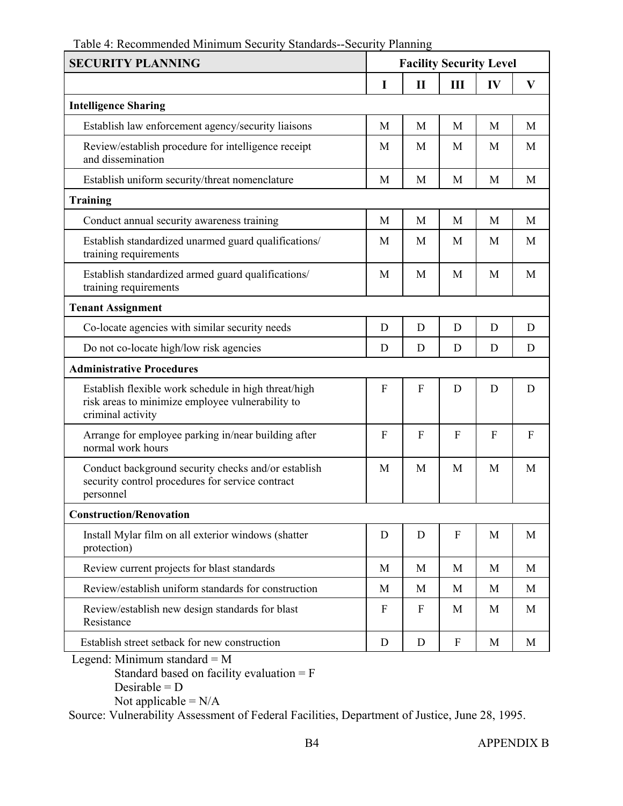### Table 4: Recommended Minimum Security Standards--Security Planning

| <b>SECURITY PLANNING</b>                                                                                                      |                  | <b>Facility Security Level</b> |              |              |              |
|-------------------------------------------------------------------------------------------------------------------------------|------------------|--------------------------------|--------------|--------------|--------------|
|                                                                                                                               | I                | $\mathbf{I}$                   | III          | IV           | $\mathbf{V}$ |
| <b>Intelligence Sharing</b>                                                                                                   |                  |                                |              |              |              |
| Establish law enforcement agency/security liaisons                                                                            | M                | M                              | M            | M            | M            |
| Review/establish procedure for intelligence receipt<br>and dissemination                                                      | M                | M                              | M            | M            | M            |
| Establish uniform security/threat nomenclature                                                                                | M                | M                              | M            | M            | M            |
| <b>Training</b>                                                                                                               |                  |                                |              |              |              |
| Conduct annual security awareness training                                                                                    | M                | M                              | M            | M            | M            |
| Establish standardized unarmed guard qualifications/<br>training requirements                                                 | M                | M                              | M            | M            | M            |
| Establish standardized armed guard qualifications/<br>training requirements                                                   | M                | M                              | M            | M            | M            |
| <b>Tenant Assignment</b>                                                                                                      |                  |                                |              |              |              |
| Co-locate agencies with similar security needs                                                                                | D                | D                              | D            | D            | D            |
| Do not co-locate high/low risk agencies                                                                                       | D                | D                              | D            | D            | D            |
| <b>Administrative Procedures</b>                                                                                              |                  |                                |              |              |              |
| Establish flexible work schedule in high threat/high<br>risk areas to minimize employee vulnerability to<br>criminal activity | F                | F                              | D            | D            | D            |
| Arrange for employee parking in/near building after<br>normal work hours                                                      | $\boldsymbol{F}$ | F                              | F            | $\mathbf{F}$ | F            |
| Conduct background security checks and/or establish<br>security control procedures for service contract<br>personnel          | M                | M                              | M            | M            | M            |
| <b>Construction/Renovation</b>                                                                                                |                  |                                |              |              |              |
| Install Mylar film on all exterior windows (shatter<br>protection)                                                            | D                | D                              | $\mathbf{F}$ | M            | M            |
| Review current projects for blast standards                                                                                   | M                | M                              | M            | M            | M            |
| Review/establish uniform standards for construction                                                                           | M                | M                              | M            | M            | M            |
| Review/establish new design standards for blast<br>Resistance                                                                 | $\boldsymbol{F}$ | $\mathbf{F}$                   | M            | M            | M            |
| Establish street setback for new construction                                                                                 | D                | D                              | F            | M            | M            |
| Legend: Minimum standard = $M$                                                                                                |                  |                                |              |              |              |

 Standard based on facility evaluation = F Desirable =  $D$ 

Not applicable  $=N/A$ 

Source: Vulnerability Assessment of Federal Facilities, Department of Justice, June 28, 1995.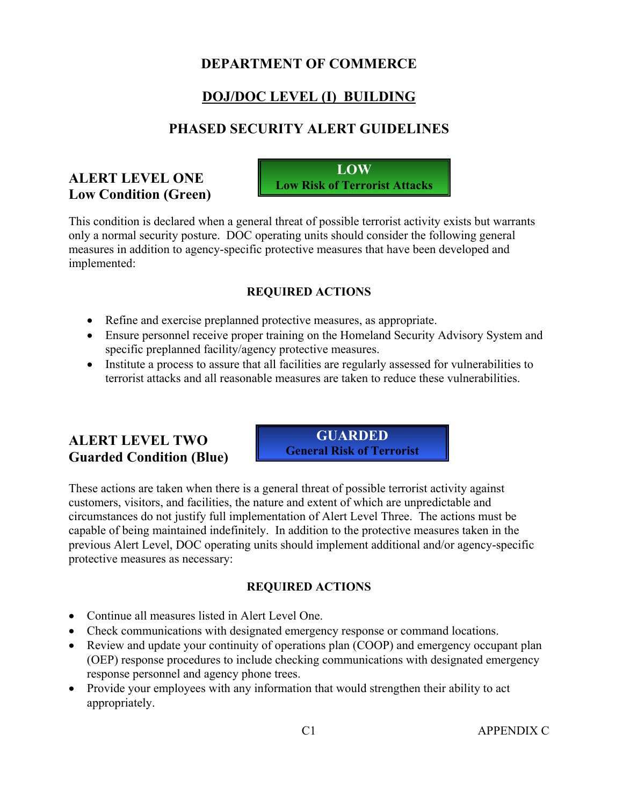# **DEPARTMENT OF COMMERCE**

# **DOJ/DOC LEVEL (I) BUILDING**

### **PHASED SECURITY ALERT GUIDELINES**

### **ALERT LEVEL ONE Low Condition (Green)**



This condition is declared when a general threat of possible terrorist activity exists but warrants only a normal security posture. DOC operating units should consider the following general measures in addition to agency-specific protective measures that have been developed and implemented:

### **REQUIRED ACTIONS**

- Refine and exercise preplanned protective measures, as appropriate.
- Ensure personnel receive proper training on the Homeland Security Advisory System and specific preplanned facility/agency protective measures.
- Institute a process to assure that all facilities are regularly assessed for vulnerabilities to terrorist attacks and all reasonable measures are taken to reduce these vulnerabilities.

### **ALERT LEVEL TWO Guarded Condition (Blue)**

**GUARDED General Risk of Terrorist** 

These actions are taken when there is a general threat of possible terrorist activity against customers, visitors, and facilities, the nature and extent of which are unpredictable and circumstances do not justify full implementation of Alert Level Three. The actions must be capable of being maintained indefinitely. In addition to the protective measures taken in the previous Alert Level, DOC operating units should implement additional and/or agency-specific protective measures as necessary:

- Continue all measures listed in Alert Level One.
- Check communications with designated emergency response or command locations.
- Review and update your continuity of operations plan (COOP) and emergency occupant plan (OEP) response procedures to include checking communications with designated emergency response personnel and agency phone trees.
- Provide your employees with any information that would strengthen their ability to act appropriately.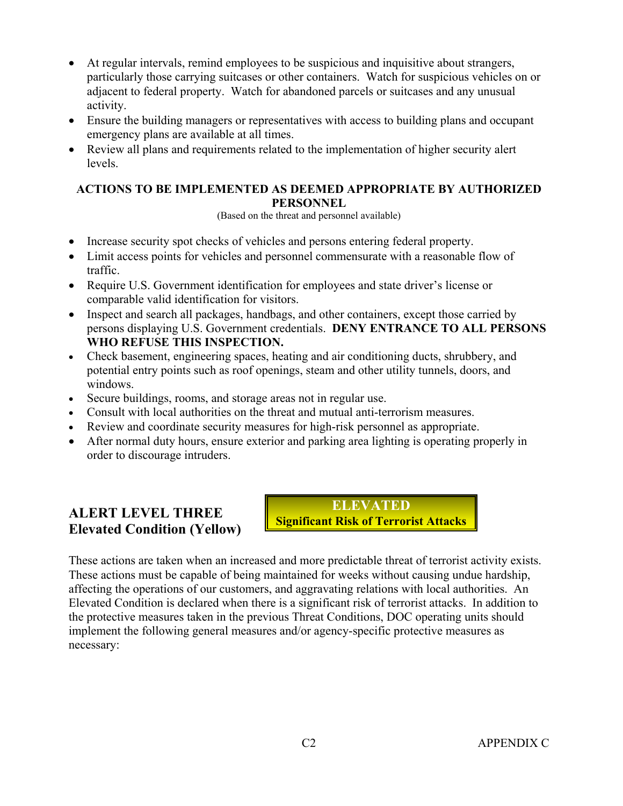- At regular intervals, remind employees to be suspicious and inquisitive about strangers, particularly those carrying suitcases or other containers. Watch for suspicious vehicles on or adjacent to federal property. Watch for abandoned parcels or suitcases and any unusual activity.
- Ensure the building managers or representatives with access to building plans and occupant emergency plans are available at all times.
- Review all plans and requirements related to the implementation of higher security alert levels.

(Based on the threat and personnel available)

- Increase security spot checks of vehicles and persons entering federal property.
- Limit access points for vehicles and personnel commensurate with a reasonable flow of traffic.
- Require U.S. Government identification for employees and state driver's license or comparable valid identification for visitors.
- Inspect and search all packages, handbags, and other containers, except those carried by persons displaying U.S. Government credentials. **DENY ENTRANCE TO ALL PERSONS WHO REFUSE THIS INSPECTION.**
- Check basement, engineering spaces, heating and air conditioning ducts, shrubbery, and potential entry points such as roof openings, steam and other utility tunnels, doors, and windows.
- Secure buildings, rooms, and storage areas not in regular use.
- Consult with local authorities on the threat and mutual anti-terrorism measures.
- Review and coordinate security measures for high-risk personnel as appropriate.
- After normal duty hours, ensure exterior and parking area lighting is operating properly in order to discourage intruders.

### **ALERT LEVEL THREE Elevated Condition (Yellow)**

**ELEVATED Significant Risk of Terrorist Attacks**

These actions are taken when an increased and more predictable threat of terrorist activity exists. These actions must be capable of being maintained for weeks without causing undue hardship, affecting the operations of our customers, and aggravating relations with local authorities. An Elevated Condition is declared when there is a significant risk of terrorist attacks. In addition to the protective measures taken in the previous Threat Conditions, DOC operating units should implement the following general measures and/or agency-specific protective measures as necessary: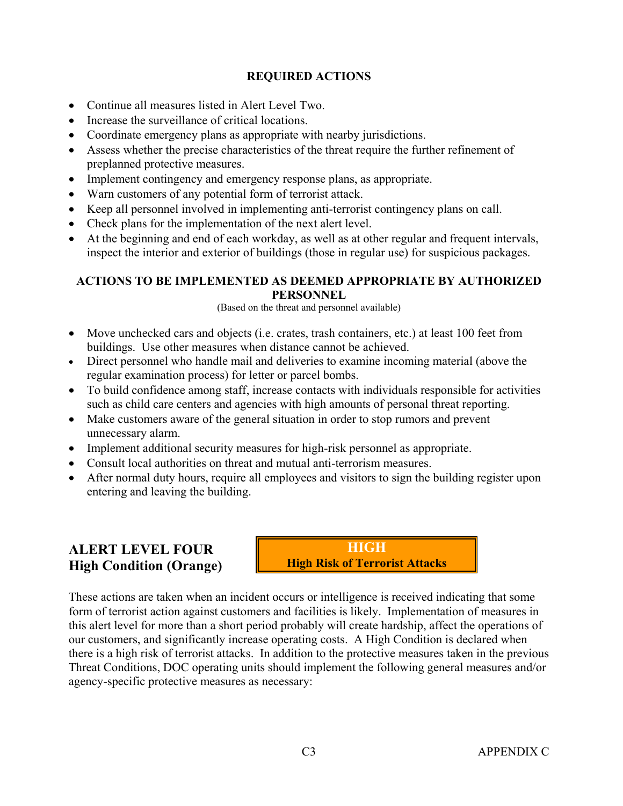- Continue all measures listed in Alert Level Two.
- Increase the surveillance of critical locations.
- Coordinate emergency plans as appropriate with nearby jurisdictions.
- Assess whether the precise characteristics of the threat require the further refinement of preplanned protective measures.
- Implement contingency and emergency response plans, as appropriate.
- Warn customers of any potential form of terrorist attack.
- Keep all personnel involved in implementing anti-terrorist contingency plans on call.
- Check plans for the implementation of the next alert level.
- At the beginning and end of each workday, as well as at other regular and frequent intervals, inspect the interior and exterior of buildings (those in regular use) for suspicious packages.

#### **ACTIONS TO BE IMPLEMENTED AS DEEMED APPROPRIATE BY AUTHORIZED PERSONNEL**

(Based on the threat and personnel available)

- Move unchecked cars and objects (i.e. crates, trash containers, etc.) at least 100 feet from buildings. Use other measures when distance cannot be achieved.
- Direct personnel who handle mail and deliveries to examine incoming material (above the regular examination process) for letter or parcel bombs.
- To build confidence among staff, increase contacts with individuals responsible for activities such as child care centers and agencies with high amounts of personal threat reporting.
- Make customers aware of the general situation in order to stop rumors and prevent unnecessary alarm.
- Implement additional security measures for high-risk personnel as appropriate.
- Consult local authorities on threat and mutual anti-terrorism measures.
- After normal duty hours, require all employees and visitors to sign the building register upon entering and leaving the building.

### **ALERT LEVEL FOUR High Condition (Orange)**

**HIGH High Risk of Terrorist Attacks**

These actions are taken when an incident occurs or intelligence is received indicating that some form of terrorist action against customers and facilities is likely. Implementation of measures in this alert level for more than a short period probably will create hardship, affect the operations of our customers, and significantly increase operating costs. A High Condition is declared when there is a high risk of terrorist attacks. In addition to the protective measures taken in the previous Threat Conditions, DOC operating units should implement the following general measures and/or agency-specific protective measures as necessary: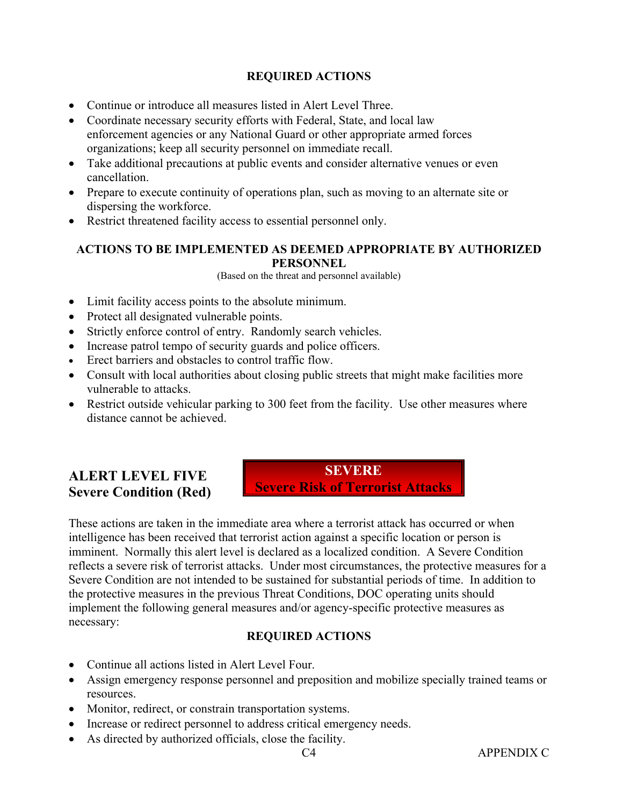- Continue or introduce all measures listed in Alert Level Three.
- Coordinate necessary security efforts with Federal, State, and local law enforcement agencies or any National Guard or other appropriate armed forces organizations; keep all security personnel on immediate recall.
- Take additional precautions at public events and consider alternative venues or even cancellation.
- Prepare to execute continuity of operations plan, such as moving to an alternate site or dispersing the workforce.
- Restrict threatened facility access to essential personnel only.

### **ACTIONS TO BE IMPLEMENTED AS DEEMED APPROPRIATE BY AUTHORIZED PERSONNEL**

(Based on the threat and personnel available)

- Limit facility access points to the absolute minimum.
- Protect all designated vulnerable points.
- Strictly enforce control of entry. Randomly search vehicles.
- Increase patrol tempo of security guards and police officers.
- Erect barriers and obstacles to control traffic flow
- Consult with local authorities about closing public streets that might make facilities more vulnerable to attacks.
- Restrict outside vehicular parking to 300 feet from the facility. Use other measures where distance cannot be achieved.

# **ALERT LEVEL FIVE Severe Condition (Red)**

**SEVERE Severe Risk of Terrorist Attacks** 

These actions are taken in the immediate area where a terrorist attack has occurred or when intelligence has been received that terrorist action against a specific location or person is imminent. Normally this alert level is declared as a localized condition. A Severe Condition reflects a severe risk of terrorist attacks. Under most circumstances, the protective measures for a Severe Condition are not intended to be sustained for substantial periods of time. In addition to the protective measures in the previous Threat Conditions, DOC operating units should implement the following general measures and/or agency-specific protective measures as necessary:

- Continue all actions listed in Alert Level Four.
- Assign emergency response personnel and preposition and mobilize specially trained teams or resources.
- Monitor, redirect, or constrain transportation systems.
- Increase or redirect personnel to address critical emergency needs.
- As directed by authorized officials, close the facility.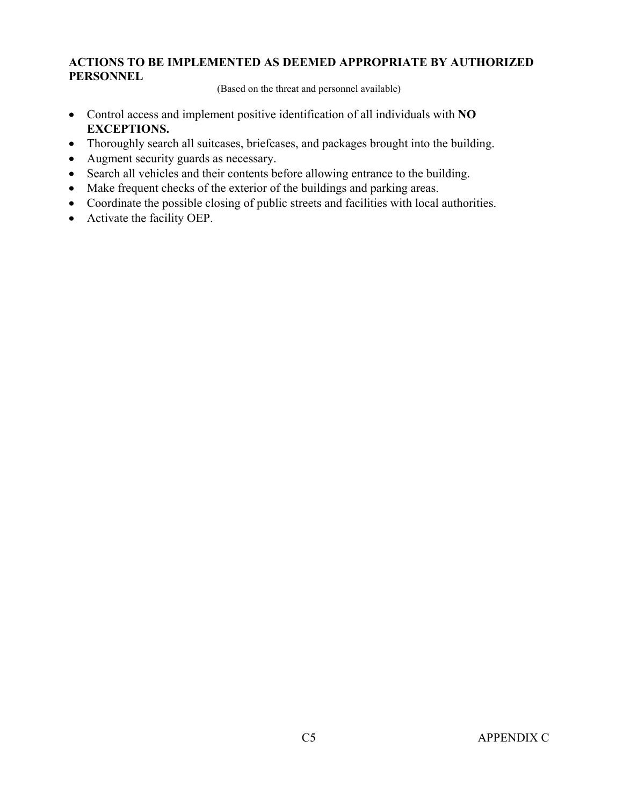(Based on the threat and personnel available)

- Control access and implement positive identification of all individuals with **NO EXCEPTIONS.**
- Thoroughly search all suitcases, briefcases, and packages brought into the building.
- Augment security guards as necessary.
- Search all vehicles and their contents before allowing entrance to the building.
- Make frequent checks of the exterior of the buildings and parking areas.
- Coordinate the possible closing of public streets and facilities with local authorities.
- Activate the facility OEP.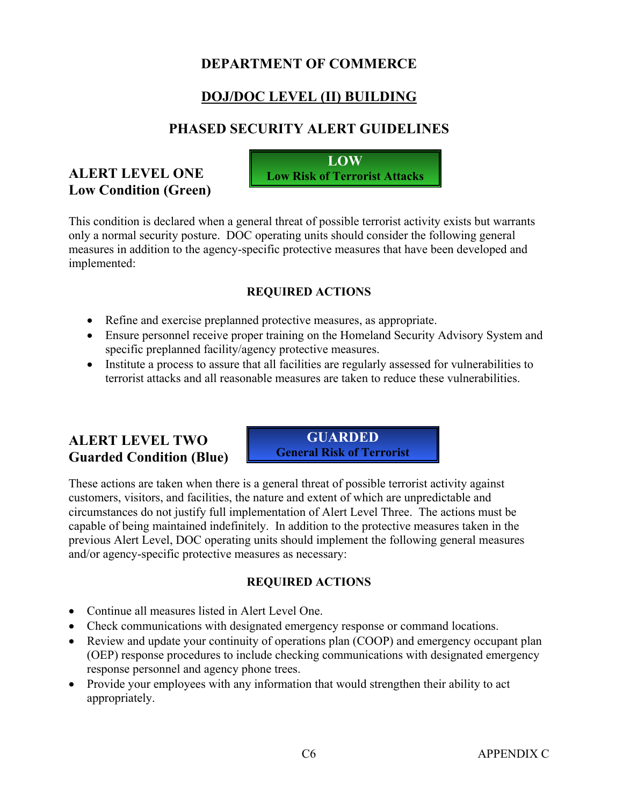# **DEPARTMENT OF COMMERCE**

# **DOJ/DOC LEVEL (II) BUILDING**

### **PHASED SECURITY ALERT GUIDELINES**

### **ALERT LEVEL ONE Low Condition (Green)**

**LOW Low Risk of Terrorist Attacks**

This condition is declared when a general threat of possible terrorist activity exists but warrants only a normal security posture. DOC operating units should consider the following general measures in addition to the agency-specific protective measures that have been developed and implemented:

### **REQUIRED ACTIONS**

- Refine and exercise preplanned protective measures, as appropriate.
- Ensure personnel receive proper training on the Homeland Security Advisory System and specific preplanned facility/agency protective measures.
- Institute a process to assure that all facilities are regularly assessed for vulnerabilities to terrorist attacks and all reasonable measures are taken to reduce these vulnerabilities.

### **ALERT LEVEL TWO Guarded Condition (Blue)**

**GUARDED General Risk of Terrorist** 

These actions are taken when there is a general threat of possible terrorist activity against customers, visitors, and facilities, the nature and extent of which are unpredictable and circumstances do not justify full implementation of Alert Level Three. The actions must be capable of being maintained indefinitely. In addition to the protective measures taken in the previous Alert Level, DOC operating units should implement the following general measures and/or agency-specific protective measures as necessary:

- Continue all measures listed in Alert Level One.
- Check communications with designated emergency response or command locations.
- Review and update your continuity of operations plan (COOP) and emergency occupant plan (OEP) response procedures to include checking communications with designated emergency response personnel and agency phone trees.
- Provide your employees with any information that would strengthen their ability to act appropriately.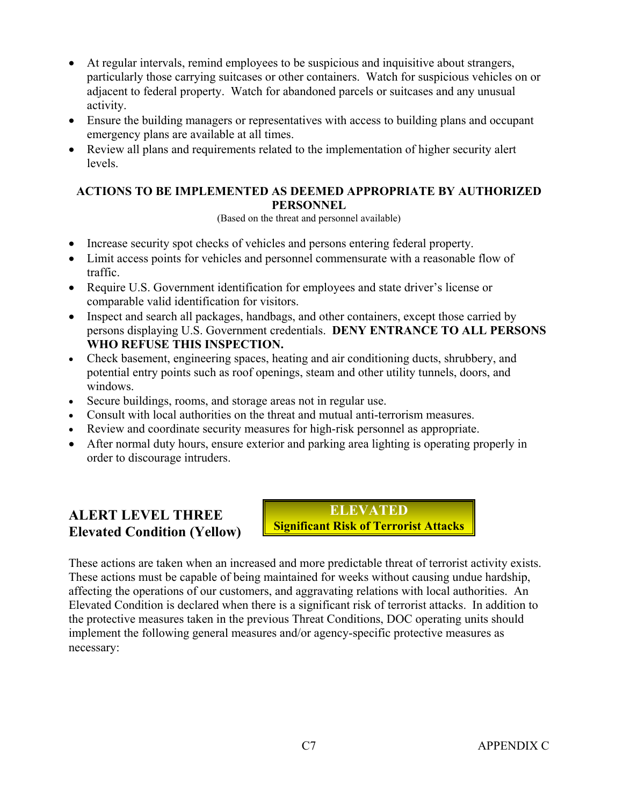- At regular intervals, remind employees to be suspicious and inquisitive about strangers, particularly those carrying suitcases or other containers. Watch for suspicious vehicles on or adjacent to federal property. Watch for abandoned parcels or suitcases and any unusual activity.
- Ensure the building managers or representatives with access to building plans and occupant emergency plans are available at all times.
- Review all plans and requirements related to the implementation of higher security alert levels.

(Based on the threat and personnel available)

- Increase security spot checks of vehicles and persons entering federal property.
- Limit access points for vehicles and personnel commensurate with a reasonable flow of traffic.
- Require U.S. Government identification for employees and state driver's license or comparable valid identification for visitors.
- Inspect and search all packages, handbags, and other containers, except those carried by persons displaying U.S. Government credentials. **DENY ENTRANCE TO ALL PERSONS WHO REFUSE THIS INSPECTION.**
- Check basement, engineering spaces, heating and air conditioning ducts, shrubbery, and potential entry points such as roof openings, steam and other utility tunnels, doors, and windows.
- Secure buildings, rooms, and storage areas not in regular use.
- Consult with local authorities on the threat and mutual anti-terrorism measures.
- Review and coordinate security measures for high-risk personnel as appropriate.
- After normal duty hours, ensure exterior and parking area lighting is operating properly in order to discourage intruders.

### **ALERT LEVEL THREE Elevated Condition (Yellow)**

**ELEVATED Significant Risk of Terrorist Attacks**

These actions are taken when an increased and more predictable threat of terrorist activity exists. These actions must be capable of being maintained for weeks without causing undue hardship, affecting the operations of our customers, and aggravating relations with local authorities. An Elevated Condition is declared when there is a significant risk of terrorist attacks. In addition to the protective measures taken in the previous Threat Conditions, DOC operating units should implement the following general measures and/or agency-specific protective measures as necessary: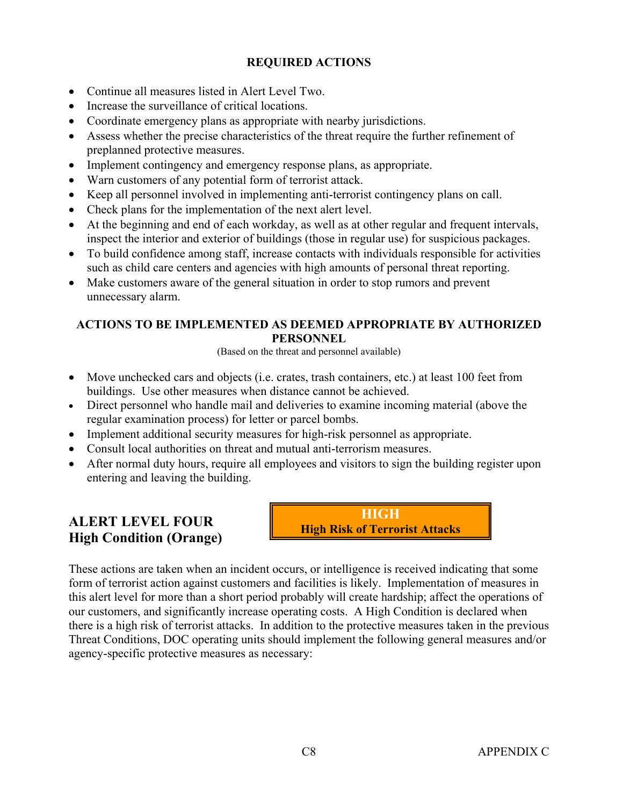- Continue all measures listed in Alert Level Two.
- Increase the surveillance of critical locations.
- Coordinate emergency plans as appropriate with nearby jurisdictions.
- Assess whether the precise characteristics of the threat require the further refinement of preplanned protective measures.
- Implement contingency and emergency response plans, as appropriate.
- Warn customers of any potential form of terrorist attack.
- Keep all personnel involved in implementing anti-terrorist contingency plans on call.
- Check plans for the implementation of the next alert level.
- At the beginning and end of each workday, as well as at other regular and frequent intervals, inspect the interior and exterior of buildings (those in regular use) for suspicious packages.
- To build confidence among staff, increase contacts with individuals responsible for activities such as child care centers and agencies with high amounts of personal threat reporting.
- Make customers aware of the general situation in order to stop rumors and prevent unnecessary alarm.

### **ACTIONS TO BE IMPLEMENTED AS DEEMED APPROPRIATE BY AUTHORIZED PERSONNEL**

(Based on the threat and personnel available)

- Move unchecked cars and objects (i.e. crates, trash containers, etc.) at least 100 feet from buildings. Use other measures when distance cannot be achieved.
- Direct personnel who handle mail and deliveries to examine incoming material (above the regular examination process) for letter or parcel bombs.
- Implement additional security measures for high-risk personnel as appropriate.
- Consult local authorities on threat and mutual anti-terrorism measures.
- After normal duty hours, require all employees and visitors to sign the building register upon entering and leaving the building.

# **ALERT LEVEL FOUR High Condition (Orange)**



These actions are taken when an incident occurs, or intelligence is received indicating that some form of terrorist action against customers and facilities is likely. Implementation of measures in this alert level for more than a short period probably will create hardship; affect the operations of our customers, and significantly increase operating costs. A High Condition is declared when there is a high risk of terrorist attacks. In addition to the protective measures taken in the previous Threat Conditions, DOC operating units should implement the following general measures and/or agency-specific protective measures as necessary: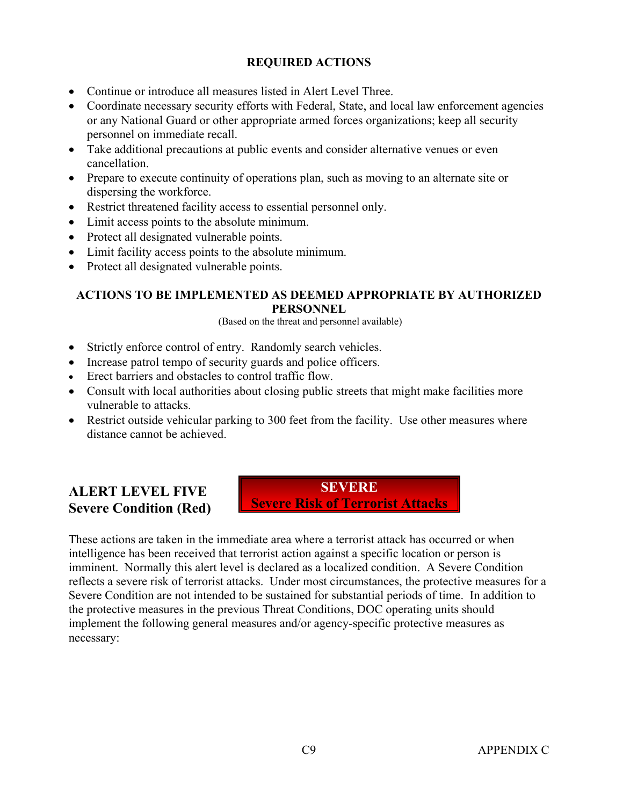- Continue or introduce all measures listed in Alert Level Three.
- Coordinate necessary security efforts with Federal, State, and local law enforcement agencies or any National Guard or other appropriate armed forces organizations; keep all security personnel on immediate recall.
- Take additional precautions at public events and consider alternative venues or even cancellation.
- Prepare to execute continuity of operations plan, such as moving to an alternate site or dispersing the workforce.
- Restrict threatened facility access to essential personnel only.
- Limit access points to the absolute minimum.
- Protect all designated vulnerable points.
- Limit facility access points to the absolute minimum.
- Protect all designated vulnerable points.

#### **ACTIONS TO BE IMPLEMENTED AS DEEMED APPROPRIATE BY AUTHORIZED PERSONNEL**

(Based on the threat and personnel available)

- Strictly enforce control of entry. Randomly search vehicles.
- Increase patrol tempo of security guards and police officers.
- Erect barriers and obstacles to control traffic flow.
- Consult with local authorities about closing public streets that might make facilities more vulnerable to attacks.
- Restrict outside vehicular parking to 300 feet from the facility. Use other measures where distance cannot be achieved.

### **ALERT LEVEL FIVE Severe Condition (Red)**

**SEVERE Severe Risk of Terrorist Attacks** 

These actions are taken in the immediate area where a terrorist attack has occurred or when intelligence has been received that terrorist action against a specific location or person is imminent. Normally this alert level is declared as a localized condition. A Severe Condition reflects a severe risk of terrorist attacks. Under most circumstances, the protective measures for a Severe Condition are not intended to be sustained for substantial periods of time. In addition to the protective measures in the previous Threat Conditions, DOC operating units should implement the following general measures and/or agency-specific protective measures as necessary: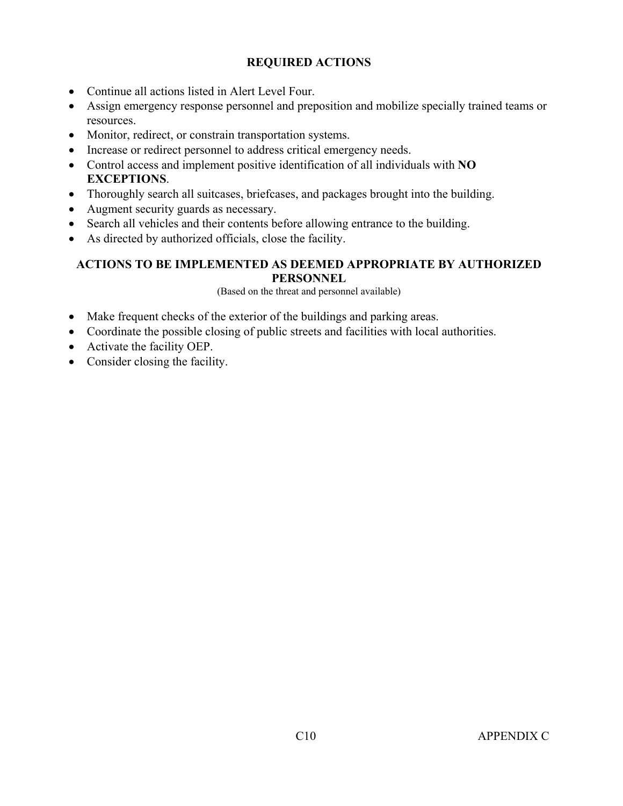- Continue all actions listed in Alert Level Four.
- Assign emergency response personnel and preposition and mobilize specially trained teams or resources.
- Monitor, redirect, or constrain transportation systems.
- Increase or redirect personnel to address critical emergency needs.
- Control access and implement positive identification of all individuals with **NO EXCEPTIONS**.
- Thoroughly search all suitcases, briefcases, and packages brought into the building.
- Augment security guards as necessary.
- Search all vehicles and their contents before allowing entrance to the building.
- As directed by authorized officials, close the facility.

#### **ACTIONS TO BE IMPLEMENTED AS DEEMED APPROPRIATE BY AUTHORIZED PERSONNEL**

(Based on the threat and personnel available)

- Make frequent checks of the exterior of the buildings and parking areas.
- Coordinate the possible closing of public streets and facilities with local authorities.
- Activate the facility OEP.
- Consider closing the facility.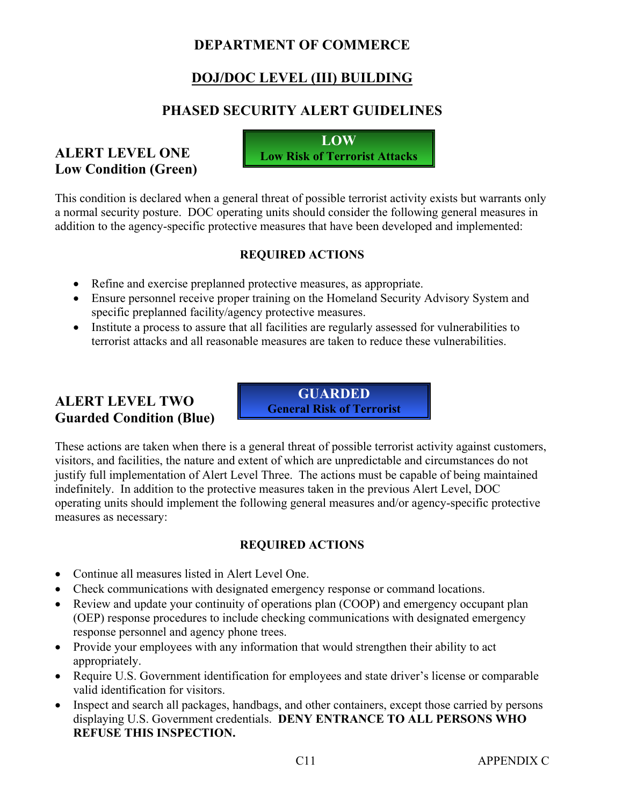### **DEPARTMENT OF COMMERCE**

# **DOJ/DOC LEVEL (III) BUILDING**

# **PHASED SECURITY ALERT GUIDELINES**

### **ALERT LEVEL ONE Low Condition (Green)**

**LOW Low Risk of Terrorist Attacks**

This condition is declared when a general threat of possible terrorist activity exists but warrants only a normal security posture. DOC operating units should consider the following general measures in addition to the agency-specific protective measures that have been developed and implemented:

### **REQUIRED ACTIONS**

- Refine and exercise preplanned protective measures, as appropriate.
- Ensure personnel receive proper training on the Homeland Security Advisory System and specific preplanned facility/agency protective measures.
- Institute a process to assure that all facilities are regularly assessed for vulnerabilities to terrorist attacks and all reasonable measures are taken to reduce these vulnerabilities.

# **ALERT LEVEL TWO Guarded Condition (Blue)**

**GUARDED General Risk of Terrorist** 

These actions are taken when there is a general threat of possible terrorist activity against customers, visitors, and facilities, the nature and extent of which are unpredictable and circumstances do not justify full implementation of Alert Level Three. The actions must be capable of being maintained indefinitely. In addition to the protective measures taken in the previous Alert Level, DOC operating units should implement the following general measures and/or agency-specific protective measures as necessary:

- Continue all measures listed in Alert Level One.
- Check communications with designated emergency response or command locations.
- Review and update your continuity of operations plan (COOP) and emergency occupant plan (OEP) response procedures to include checking communications with designated emergency response personnel and agency phone trees.
- Provide your employees with any information that would strengthen their ability to act appropriately.
- Require U.S. Government identification for employees and state driver's license or comparable valid identification for visitors.
- Inspect and search all packages, handbags, and other containers, except those carried by persons displaying U.S. Government credentials. **DENY ENTRANCE TO ALL PERSONS WHO REFUSE THIS INSPECTION.**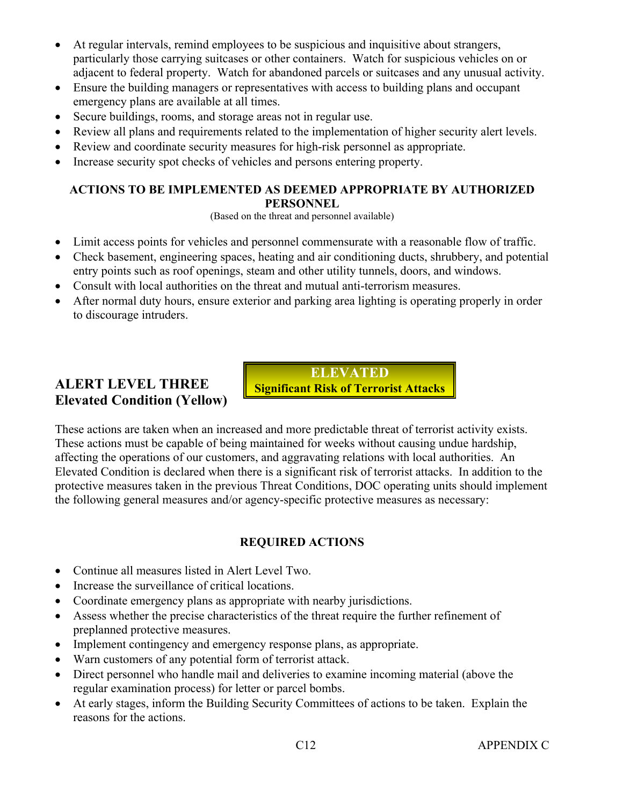- At regular intervals, remind employees to be suspicious and inquisitive about strangers, particularly those carrying suitcases or other containers. Watch for suspicious vehicles on or adjacent to federal property. Watch for abandoned parcels or suitcases and any unusual activity.
- Ensure the building managers or representatives with access to building plans and occupant emergency plans are available at all times.
- Secure buildings, rooms, and storage areas not in regular use.
- Review all plans and requirements related to the implementation of higher security alert levels.
- Review and coordinate security measures for high-risk personnel as appropriate.
- Increase security spot checks of vehicles and persons entering property.

(Based on the threat and personnel available)

- Limit access points for vehicles and personnel commensurate with a reasonable flow of traffic.
- Check basement, engineering spaces, heating and air conditioning ducts, shrubbery, and potential entry points such as roof openings, steam and other utility tunnels, doors, and windows.
- Consult with local authorities on the threat and mutual anti-terrorism measures.
- After normal duty hours, ensure exterior and parking area lighting is operating properly in order to discourage intruders.

# **ALERT LEVEL THREE Elevated Condition (Yellow)**

**ELEVATED Significant Risk of Terrorist Attacks**

These actions are taken when an increased and more predictable threat of terrorist activity exists. These actions must be capable of being maintained for weeks without causing undue hardship, affecting the operations of our customers, and aggravating relations with local authorities. An Elevated Condition is declared when there is a significant risk of terrorist attacks. In addition to the protective measures taken in the previous Threat Conditions, DOC operating units should implement the following general measures and/or agency-specific protective measures as necessary:

- Continue all measures listed in Alert Level Two.
- Increase the surveillance of critical locations.
- Coordinate emergency plans as appropriate with nearby jurisdictions.
- Assess whether the precise characteristics of the threat require the further refinement of preplanned protective measures.
- Implement contingency and emergency response plans, as appropriate.
- Warn customers of any potential form of terrorist attack.
- Direct personnel who handle mail and deliveries to examine incoming material (above the regular examination process) for letter or parcel bombs.
- At early stages, inform the Building Security Committees of actions to be taken. Explain the reasons for the actions.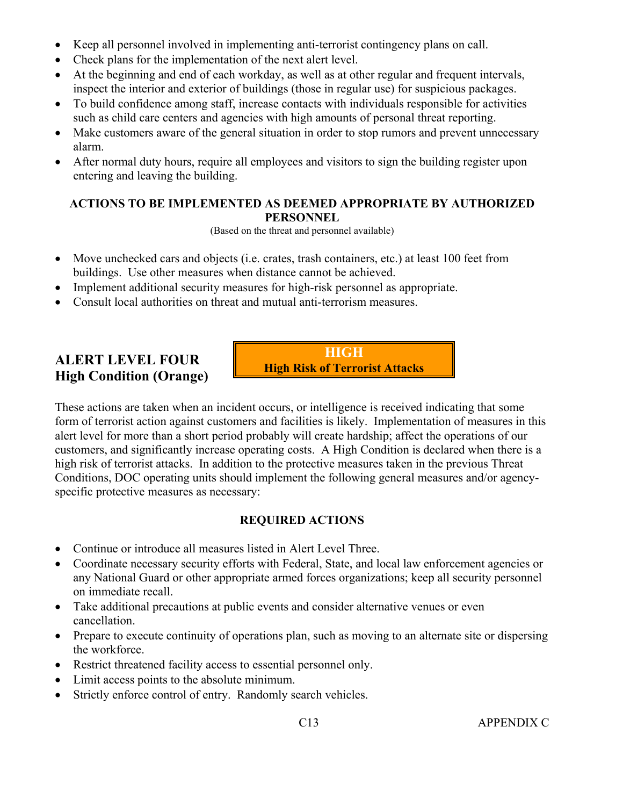- Keep all personnel involved in implementing anti-terrorist contingency plans on call.
- Check plans for the implementation of the next alert level.
- At the beginning and end of each workday, as well as at other regular and frequent intervals, inspect the interior and exterior of buildings (those in regular use) for suspicious packages.
- To build confidence among staff, increase contacts with individuals responsible for activities such as child care centers and agencies with high amounts of personal threat reporting.
- Make customers aware of the general situation in order to stop rumors and prevent unnecessary alarm.
- After normal duty hours, require all employees and visitors to sign the building register upon entering and leaving the building.

(Based on the threat and personnel available)

- Move unchecked cars and objects (i.e. crates, trash containers, etc.) at least 100 feet from buildings. Use other measures when distance cannot be achieved.
- Implement additional security measures for high-risk personnel as appropriate.
- Consult local authorities on threat and mutual anti-terrorism measures.

# **ALERT LEVEL FOUR High Condition (Orange)**

**HIGH High Risk of Terrorist Attacks**

These actions are taken when an incident occurs, or intelligence is received indicating that some form of terrorist action against customers and facilities is likely. Implementation of measures in this alert level for more than a short period probably will create hardship; affect the operations of our customers, and significantly increase operating costs. A High Condition is declared when there is a high risk of terrorist attacks. In addition to the protective measures taken in the previous Threat Conditions, DOC operating units should implement the following general measures and/or agencyspecific protective measures as necessary:

- Continue or introduce all measures listed in Alert Level Three.
- Coordinate necessary security efforts with Federal, State, and local law enforcement agencies or any National Guard or other appropriate armed forces organizations; keep all security personnel on immediate recall.
- Take additional precautions at public events and consider alternative venues or even cancellation.
- Prepare to execute continuity of operations plan, such as moving to an alternate site or dispersing the workforce.
- Restrict threatened facility access to essential personnel only.
- Limit access points to the absolute minimum.
- Strictly enforce control of entry. Randomly search vehicles.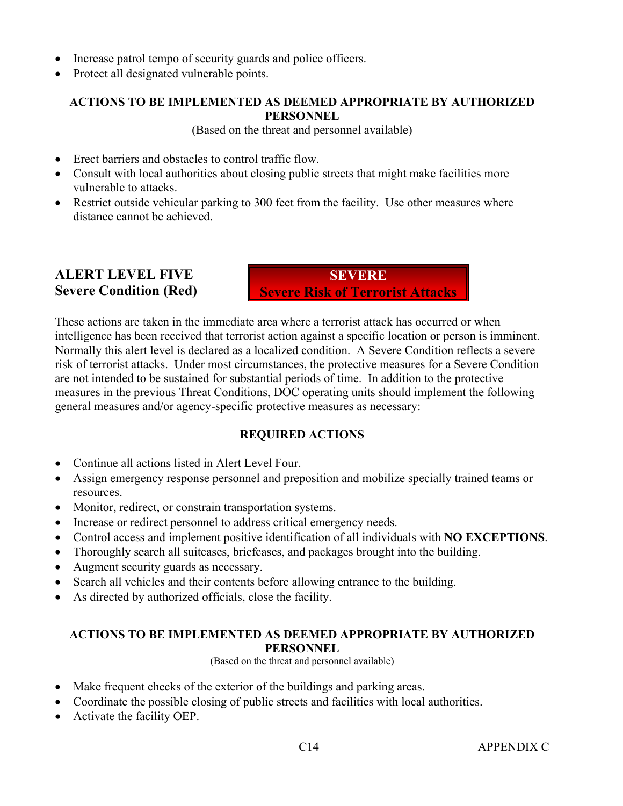- Increase patrol tempo of security guards and police officers.
- Protect all designated vulnerable points.

(Based on the threat and personnel available)

- Erect barriers and obstacles to control traffic flow
- Consult with local authorities about closing public streets that might make facilities more vulnerable to attacks.
- Restrict outside vehicular parking to 300 feet from the facility. Use other measures where distance cannot be achieved.

### **ALERT LEVEL FIVE Severe Condition (Red)**

**SEVERE Severe Risk of Terrorist Attacks** 

These actions are taken in the immediate area where a terrorist attack has occurred or when intelligence has been received that terrorist action against a specific location or person is imminent. Normally this alert level is declared as a localized condition. A Severe Condition reflects a severe risk of terrorist attacks. Under most circumstances, the protective measures for a Severe Condition are not intended to be sustained for substantial periods of time. In addition to the protective measures in the previous Threat Conditions, DOC operating units should implement the following general measures and/or agency-specific protective measures as necessary:

### **REQUIRED ACTIONS**

- Continue all actions listed in Alert Level Four.
- Assign emergency response personnel and preposition and mobilize specially trained teams or resources.
- Monitor, redirect, or constrain transportation systems.
- Increase or redirect personnel to address critical emergency needs.
- Control access and implement positive identification of all individuals with **NO EXCEPTIONS**.
- Thoroughly search all suitcases, briefcases, and packages brought into the building.
- Augment security guards as necessary.
- Search all vehicles and their contents before allowing entrance to the building.
- As directed by authorized officials, close the facility.

#### **ACTIONS TO BE IMPLEMENTED AS DEEMED APPROPRIATE BY AUTHORIZED PERSONNEL**

(Based on the threat and personnel available)

- Make frequent checks of the exterior of the buildings and parking areas.
- Coordinate the possible closing of public streets and facilities with local authorities.
- Activate the facility OEP.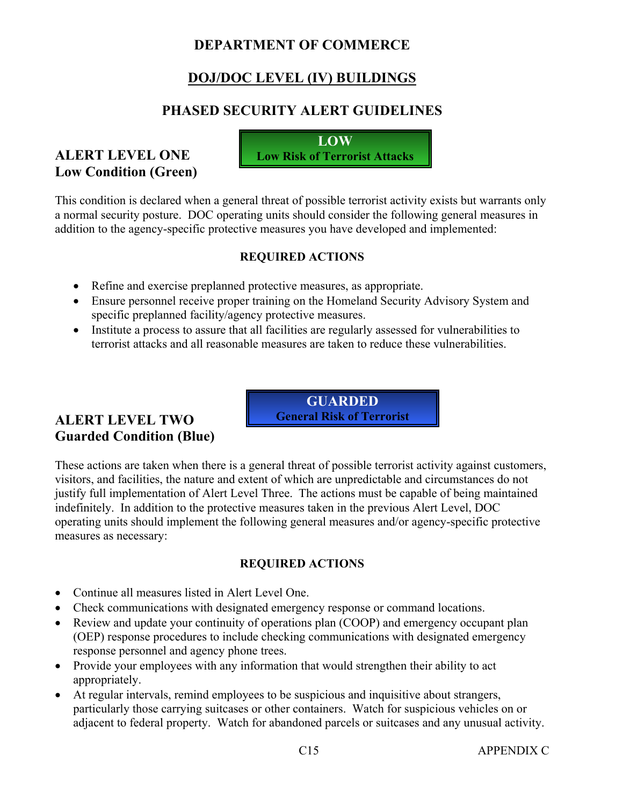### **DEPARTMENT OF COMMERCE**

# **DOJ/DOC LEVEL (IV) BUILDINGS**

# **PHASED SECURITY ALERT GUIDELINES**

### **ALERT LEVEL ONE Low Condition (Green)**

**LOW Low Risk of Terrorist Attacks**

This condition is declared when a general threat of possible terrorist activity exists but warrants only a normal security posture. DOC operating units should consider the following general measures in addition to the agency-specific protective measures you have developed and implemented:

### **REQUIRED ACTIONS**

- Refine and exercise preplanned protective measures, as appropriate.
- Ensure personnel receive proper training on the Homeland Security Advisory System and specific preplanned facility/agency protective measures.
- Institute a process to assure that all facilities are regularly assessed for vulnerabilities to terrorist attacks and all reasonable measures are taken to reduce these vulnerabilities.

**GUARDED General Risk of Terrorist** 

### **ALERT LEVEL TWO Guarded Condition (Blue)**

These actions are taken when there is a general threat of possible terrorist activity against customers, visitors, and facilities, the nature and extent of which are unpredictable and circumstances do not justify full implementation of Alert Level Three. The actions must be capable of being maintained indefinitely. In addition to the protective measures taken in the previous Alert Level, DOC operating units should implement the following general measures and/or agency-specific protective measures as necessary:

- Continue all measures listed in Alert Level One.
- Check communications with designated emergency response or command locations.
- Review and update your continuity of operations plan (COOP) and emergency occupant plan (OEP) response procedures to include checking communications with designated emergency response personnel and agency phone trees.
- Provide your employees with any information that would strengthen their ability to act appropriately.
- At regular intervals, remind employees to be suspicious and inquisitive about strangers, particularly those carrying suitcases or other containers. Watch for suspicious vehicles on or adjacent to federal property. Watch for abandoned parcels or suitcases and any unusual activity.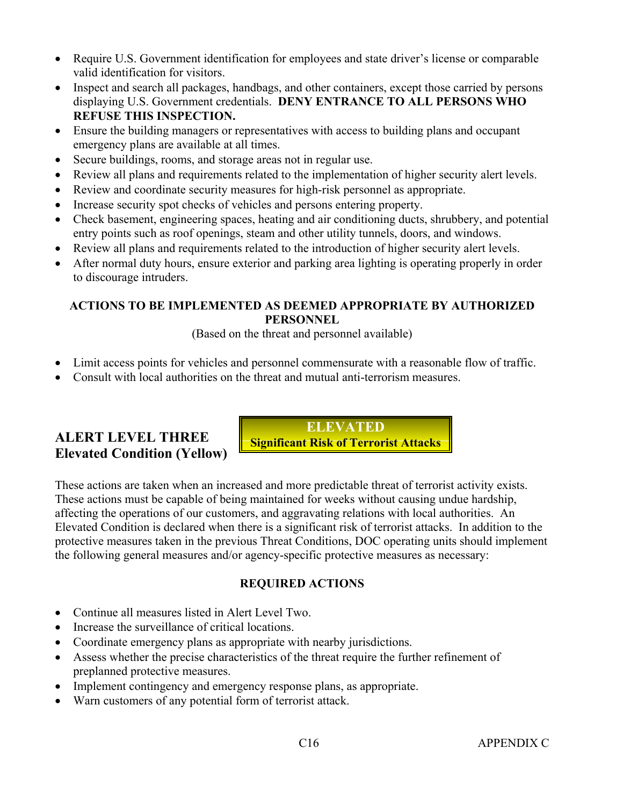- Require U.S. Government identification for employees and state driver's license or comparable valid identification for visitors.
- Inspect and search all packages, handbags, and other containers, except those carried by persons displaying U.S. Government credentials. **DENY ENTRANCE TO ALL PERSONS WHO REFUSE THIS INSPECTION.**
- Ensure the building managers or representatives with access to building plans and occupant emergency plans are available at all times.
- Secure buildings, rooms, and storage areas not in regular use.
- Review all plans and requirements related to the implementation of higher security alert levels.
- Review and coordinate security measures for high-risk personnel as appropriate.
- Increase security spot checks of vehicles and persons entering property.
- Check basement, engineering spaces, heating and air conditioning ducts, shrubbery, and potential entry points such as roof openings, steam and other utility tunnels, doors, and windows.
- Review all plans and requirements related to the introduction of higher security alert levels.
- After normal duty hours, ensure exterior and parking area lighting is operating properly in order to discourage intruders.

(Based on the threat and personnel available)

- Limit access points for vehicles and personnel commensurate with a reasonable flow of traffic.
- Consult with local authorities on the threat and mutual anti-terrorism measures.

### **ALERT LEVEL THREE Elevated Condition (Yellow)**

**ELEVATED Significant Risk of Terrorist Attacks**

These actions are taken when an increased and more predictable threat of terrorist activity exists. These actions must be capable of being maintained for weeks without causing undue hardship, affecting the operations of our customers, and aggravating relations with local authorities. An Elevated Condition is declared when there is a significant risk of terrorist attacks. In addition to the protective measures taken in the previous Threat Conditions, DOC operating units should implement the following general measures and/or agency-specific protective measures as necessary:

- Continue all measures listed in Alert Level Two.
- Increase the surveillance of critical locations.
- Coordinate emergency plans as appropriate with nearby jurisdictions.
- Assess whether the precise characteristics of the threat require the further refinement of preplanned protective measures.
- Implement contingency and emergency response plans, as appropriate.
- Warn customers of any potential form of terrorist attack.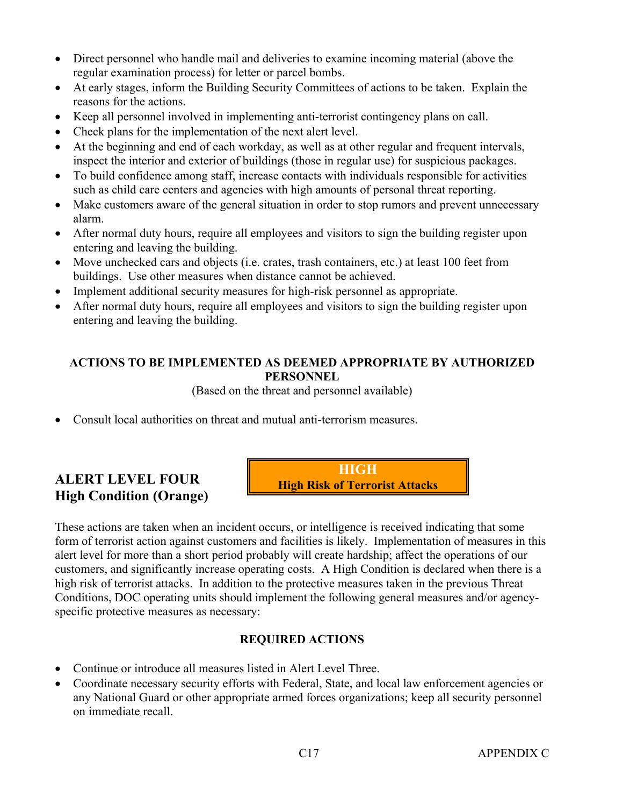- Direct personnel who handle mail and deliveries to examine incoming material (above the regular examination process) for letter or parcel bombs.
- At early stages, inform the Building Security Committees of actions to be taken. Explain the reasons for the actions.
- Keep all personnel involved in implementing anti-terrorist contingency plans on call.
- Check plans for the implementation of the next alert level.
- At the beginning and end of each workday, as well as at other regular and frequent intervals, inspect the interior and exterior of buildings (those in regular use) for suspicious packages.
- To build confidence among staff, increase contacts with individuals responsible for activities such as child care centers and agencies with high amounts of personal threat reporting.
- Make customers aware of the general situation in order to stop rumors and prevent unnecessary alarm.
- After normal duty hours, require all employees and visitors to sign the building register upon entering and leaving the building.
- Move unchecked cars and objects (i.e. crates, trash containers, etc.) at least 100 feet from buildings. Use other measures when distance cannot be achieved.
- Implement additional security measures for high-risk personnel as appropriate.
- After normal duty hours, require all employees and visitors to sign the building register upon entering and leaving the building.

(Based on the threat and personnel available)

• Consult local authorities on threat and mutual anti-terrorism measures.

# **ALERT LEVEL FOUR High Condition (Orange)**

**HIGH High Risk of Terrorist Attacks**

These actions are taken when an incident occurs, or intelligence is received indicating that some form of terrorist action against customers and facilities is likely. Implementation of measures in this alert level for more than a short period probably will create hardship; affect the operations of our customers, and significantly increase operating costs. A High Condition is declared when there is a high risk of terrorist attacks. In addition to the protective measures taken in the previous Threat Conditions, DOC operating units should implement the following general measures and/or agencyspecific protective measures as necessary:

- Continue or introduce all measures listed in Alert Level Three.
- Coordinate necessary security efforts with Federal, State, and local law enforcement agencies or any National Guard or other appropriate armed forces organizations; keep all security personnel on immediate recall.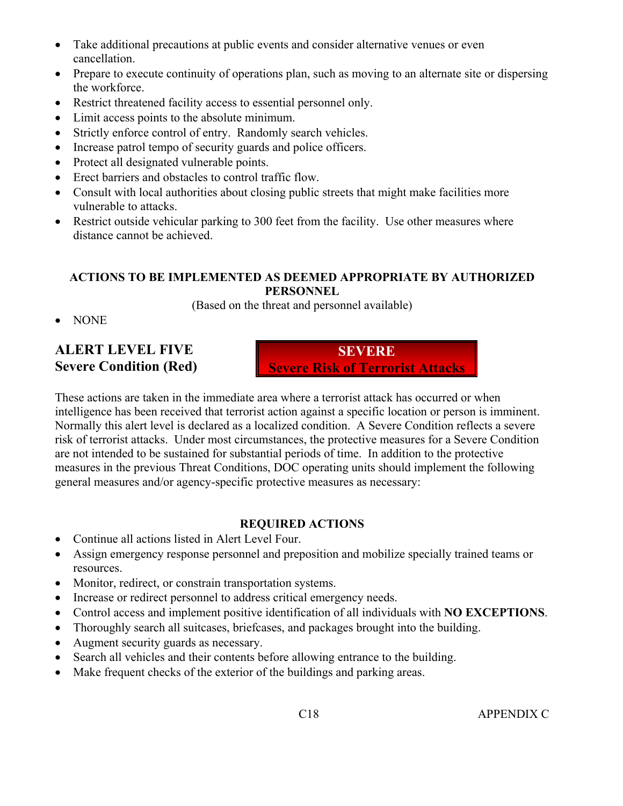- Take additional precautions at public events and consider alternative venues or even cancellation.
- Prepare to execute continuity of operations plan, such as moving to an alternate site or dispersing the workforce.
- Restrict threatened facility access to essential personnel only.
- Limit access points to the absolute minimum.
- Strictly enforce control of entry. Randomly search vehicles.
- Increase patrol tempo of security guards and police officers.
- Protect all designated vulnerable points.
- Erect barriers and obstacles to control traffic flow.
- Consult with local authorities about closing public streets that might make facilities more vulnerable to attacks.
- Restrict outside vehicular parking to 300 feet from the facility. Use other measures where distance cannot be achieved.

(Based on the threat and personnel available)

• NONE

# **ALERT LEVEL FIVE Severe Condition (Red)**

**SEVERE Severe Risk of Terrorist Attacks** 

These actions are taken in the immediate area where a terrorist attack has occurred or when intelligence has been received that terrorist action against a specific location or person is imminent. Normally this alert level is declared as a localized condition. A Severe Condition reflects a severe risk of terrorist attacks. Under most circumstances, the protective measures for a Severe Condition are not intended to be sustained for substantial periods of time. In addition to the protective measures in the previous Threat Conditions, DOC operating units should implement the following general measures and/or agency-specific protective measures as necessary:

- Continue all actions listed in Alert Level Four.
- Assign emergency response personnel and preposition and mobilize specially trained teams or resources.
- Monitor, redirect, or constrain transportation systems.
- Increase or redirect personnel to address critical emergency needs.
- Control access and implement positive identification of all individuals with **NO EXCEPTIONS**.
- Thoroughly search all suitcases, briefcases, and packages brought into the building.
- Augment security guards as necessary.
- Search all vehicles and their contents before allowing entrance to the building.
- Make frequent checks of the exterior of the buildings and parking areas.